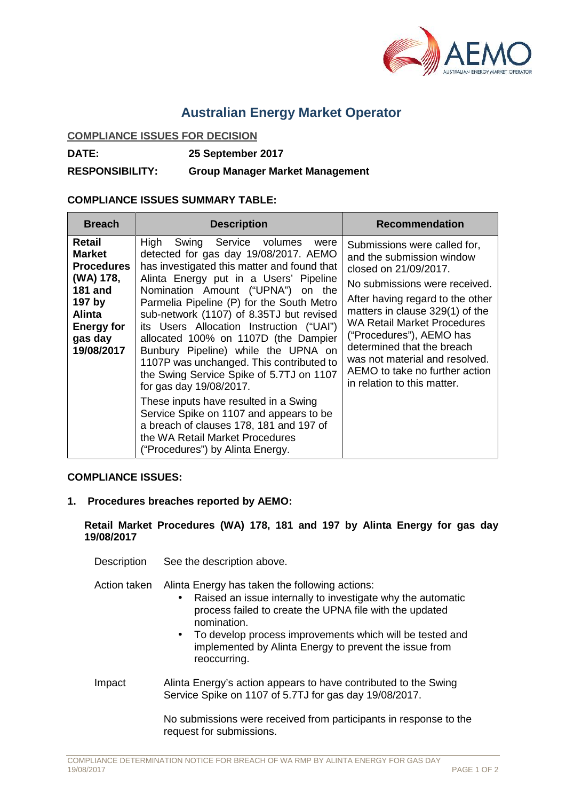

## **Australian Energy Market Operator**

## **COMPLIANCE ISSUES FOR DECISION**

**DATE: 25 September 2017**

**RESPONSIBILITY: Group Manager Market Management**

## **COMPLIANCE ISSUES SUMMARY TABLE:**

| <b>Breach</b>                                                                                                                                        | <b>Description</b>                                                                                                                                                                                                                                                                                                                                                                                                                                                                                                                                                                                                                                                                                                                                        | <b>Recommendation</b>                                                                                                                                                                                                                                                                                                                                                                         |
|------------------------------------------------------------------------------------------------------------------------------------------------------|-----------------------------------------------------------------------------------------------------------------------------------------------------------------------------------------------------------------------------------------------------------------------------------------------------------------------------------------------------------------------------------------------------------------------------------------------------------------------------------------------------------------------------------------------------------------------------------------------------------------------------------------------------------------------------------------------------------------------------------------------------------|-----------------------------------------------------------------------------------------------------------------------------------------------------------------------------------------------------------------------------------------------------------------------------------------------------------------------------------------------------------------------------------------------|
| Retail<br><b>Market</b><br><b>Procedures</b><br>(WA) 178,<br><b>181 and</b><br>197 by<br><b>Alinta</b><br><b>Energy for</b><br>gas day<br>19/08/2017 | High<br>Swing Service volumes<br>were<br>detected for gas day 19/08/2017. AEMO<br>has investigated this matter and found that<br>Alinta Energy put in a Users' Pipeline<br>Nomination Amount ("UPNA") on the<br>Parmelia Pipeline (P) for the South Metro<br>sub-network (1107) of 8.35TJ but revised<br>its Users Allocation Instruction ("UAI")<br>allocated 100% on 1107D (the Dampier<br>Bunbury Pipeline) while the UPNA on<br>1107P was unchanged. This contributed to<br>the Swing Service Spike of 5.7TJ on 1107<br>for gas day 19/08/2017.<br>These inputs have resulted in a Swing<br>Service Spike on 1107 and appears to be<br>a breach of clauses 178, 181 and 197 of<br>the WA Retail Market Procedures<br>("Procedures") by Alinta Energy. | Submissions were called for,<br>and the submission window<br>closed on 21/09/2017.<br>No submissions were received.<br>After having regard to the other<br>matters in clause 329(1) of the<br><b>WA Retail Market Procedures</b><br>("Procedures"), AEMO has<br>determined that the breach<br>was not material and resolved.<br>AEMO to take no further action<br>in relation to this matter. |

## **COMPLIANCE ISSUES:**

**1. Procedures breaches reported by AEMO:**

**Retail Market Procedures (WA) 178, 181 and 197 by Alinta Energy for gas day 19/08/2017**

Description See the description above.

Action taken Alinta Energy has taken the following actions:

- Raised an issue internally to investigate why the automatic process failed to create the UPNA file with the updated nomination.
- To develop process improvements which will be tested and implemented by Alinta Energy to prevent the issue from reoccurring.
- Impact Alinta Energy's action appears to have contributed to the Swing Service Spike on 1107 of 5.7TJ for gas day 19/08/2017.

No submissions were received from participants in response to the request for submissions.